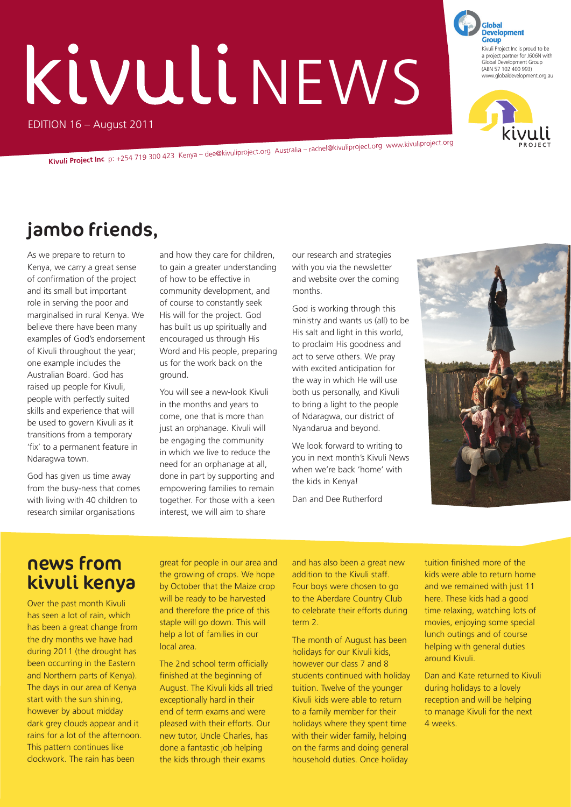# KIVULINEWS

EDITION 16 – August 2011

**Kivuli Project Inc** p: +254 719 300 423 Kenya – dee@kivuliproject.org Australia – rachel@kivuliproject.org www.kivuliproject.org

### jambo friends,

As we prepare to return to Kenya, we carry a great sense of confirmation of the project and its small but important role in serving the poor and marginalised in rural Kenya. We believe there have been many examples of God's endorsement of Kivuli throughout the year; one example includes the Australian Board. God has raised up people for Kivuli, people with perfectly suited skills and experience that will be used to govern Kivuli as it transitions from a temporary 'fix' to a permanent feature in Ndaragwa town.

God has given us time away from the busy-ness that comes with living with 40 children to research similar organisations

and how they care for children, to gain a greater understanding of how to be effective in community development, and of course to constantly seek His will for the project. God has built us up spiritually and encouraged us through His Word and His people, preparing us for the work back on the ground.

You will see a new-look Kivuli in the months and years to come, one that is more than just an orphanage. Kivuli will be engaging the community in which we live to reduce the need for an orphanage at all, done in part by supporting and empowering families to remain together. For those with a keen interest, we will aim to share

our research and strategies with you via the newsletter and website over the coming months.

God is working through this ministry and wants us (all) to be His salt and light in this world, to proclaim His goodness and act to serve others. We pray with excited anticipation for the way in which He will use both us personally, and Kivuli to bring a light to the people of Ndaragwa, our district of Nyandarua and beyond.

We look forward to writing to you in next month's Kivuli News when we're back 'home' with the kids in Kenya!

Dan and Dee Rutherford



#### news from kivuli kenya

Over the past month Kivuli has seen a lot of rain, which has been a great change from the dry months we have had during 2011 (the drought has been occurring in the Eastern and Northern parts of Kenya). The days in our area of Kenya start with the sun shining, however by about midday dark grey clouds appear and it rains for a lot of the afternoon. This pattern continues like clockwork. The rain has been

great for people in our area and the growing of crops. We hope by October that the Maize crop will be ready to be harvested and therefore the price of this staple will go down. This will help a lot of families in our local area.

The 2nd school term officially finished at the beginning of August. The Kivuli kids all tried exceptionally hard in their end of term exams and were pleased with their efforts. Our new tutor, Uncle Charles, has done a fantastic job helping the kids through their exams

and has also been a great new addition to the Kivuli staff. Four boys were chosen to go to the Aberdare Country Club to celebrate their efforts during term 2.

The month of August has been holidays for our Kivuli kids, however our class 7 and 8 students continued with holiday tuition. Twelve of the younger Kivuli kids were able to return to a family member for their holidays where they spent time with their wider family, helping on the farms and doing general household duties. Once holiday

tuition finished more of the kids were able to return home and we remained with just 11 here. These kids had a good time relaxing, watching lots of movies, enjoying some special lunch outings and of course helping with general duties around Kivuli.

Dan and Kate returned to Kivuli during holidays to a lovely reception and will be helping to manage Kivuli for the next 4 weeks.



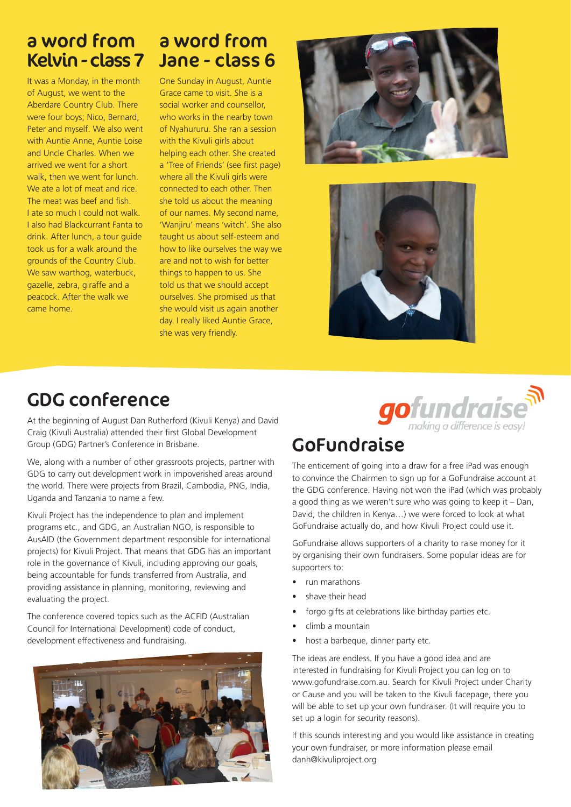## a word from a word from

It was a Monday, in the month of August, we went to the Aberdare Country Club. There were four boys; Nico, Bernard, Peter and myself. We also went with Auntie Anne, Auntie Loise and Uncle Charles. When we arrived we went for a short walk, then we went for lunch. We ate a lot of meat and rice. The meat was beef and fish. I ate so much I could not walk. I also had Blackcurrant Fanta to drink. After lunch, a tour guide took us for a walk around the grounds of the Country Club. We saw warthog, waterbuck, gazelle, zebra, giraffe and a peacock. After the walk we came home.

# Kelvin - class 7 Jane - class 6

One Sunday in August, Auntie Grace came to visit. She is a social worker and counsellor, who works in the nearby town of Nyahururu. She ran a session with the Kivuli girls about helping each other. She created a 'Tree of Friends' (see first page) where all the Kivuli girls were connected to each other. Then she told us about the meaning of our names. My second name, 'Wanjiru' means 'witch'. She also taught us about self-esteem and how to like ourselves the way we are and not to wish for better things to happen to us. She told us that we should accept ourselves. She promised us that she would visit us again another day. I really liked Auntie Grace, she was very friendly.





#### GDG conference

At the beginning of August Dan Rutherford (Kivuli Kenya) and David Craig (Kivuli Australia) attended their first Global Development Group (GDG) Partner's Conference in Brisbane.

We, along with a number of other grassroots projects, partner with GDG to carry out development work in impoverished areas around the world. There were projects from Brazil, Cambodia, PNG, India, Uganda and Tanzania to name a few.

Kivuli Project has the independence to plan and implement programs etc., and GDG, an Australian NGO, is responsible to AusAID (the Government department responsible for international projects) for Kivuli Project. That means that GDG has an important role in the governance of Kivuli, including approving our goals, being accountable for funds transferred from Australia, and providing assistance in planning, monitoring, reviewing and evaluating the project.

The conference covered topics such as the ACFID (Australian Council for International Development) code of conduct, development effectiveness and fundraising.





#### GoFundraise

The enticement of going into a draw for a free iPad was enough to convince the Chairmen to sign up for a GoFundraise account at the GDG conference. Having not won the iPad (which was probably a good thing as we weren't sure who was going to keep it – Dan, David, the children in Kenya…) we were forced to look at what GoFundraise actually do, and how Kivuli Project could use it.

GoFundraise allows supporters of a charity to raise money for it by organising their own fundraisers. Some popular ideas are for supporters to:

- run marathons
- shave their head
- forgo gifts at celebrations like birthday parties etc.
- climb a mountain
- host a barbeque, dinner party etc.

The ideas are endless. If you have a good idea and are interested in fundraising for Kivuli Project you can log on to www.gofundraise.com.au. Search for Kivuli Project under Charity or Cause and you will be taken to the Kivuli facepage, there you will be able to set up your own fundraiser. (It will require you to set up a login for security reasons).

If this sounds interesting and you would like assistance in creating your own fundraiser, or more information please email danh@kivuliproject.org